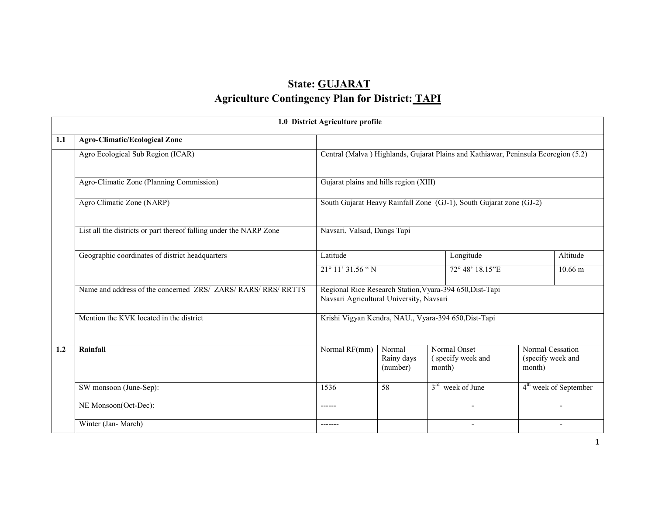# State: GUJARATAgriculture Contingency Plan for District: <u>TAPI</u>

|     | 1.0 District Agriculture profile                                   |                                                                                    |                                  |                                                          |                                                 |  |  |  |  |  |
|-----|--------------------------------------------------------------------|------------------------------------------------------------------------------------|----------------------------------|----------------------------------------------------------|-------------------------------------------------|--|--|--|--|--|
| 1.1 | <b>Agro-Climatic/Ecological Zone</b>                               |                                                                                    |                                  |                                                          |                                                 |  |  |  |  |  |
|     | Agro Ecological Sub Region (ICAR)                                  | Central (Malva) Highlands, Gujarat Plains and Kathiawar, Peninsula Ecoregion (5.2) |                                  |                                                          |                                                 |  |  |  |  |  |
|     | Agro-Climatic Zone (Planning Commission)                           | Gujarat plains and hills region (XIII)                                             |                                  |                                                          |                                                 |  |  |  |  |  |
|     | Agro Climatic Zone (NARP)                                          | South Gujarat Heavy Rainfall Zone (GJ-1), South Gujarat zone (GJ-2)                |                                  |                                                          |                                                 |  |  |  |  |  |
|     | List all the districts or part thereof falling under the NARP Zone | Navsari, Valsad, Dangs Tapi                                                        |                                  |                                                          |                                                 |  |  |  |  |  |
|     | Geographic coordinates of district headquarters                    | Latitude                                                                           |                                  | Longitude                                                | Altitude                                        |  |  |  |  |  |
|     |                                                                    | 21° 11' 31.56 "N                                                                   |                                  | 72° 48' 18.15"E                                          | $10.66 \text{ m}$                               |  |  |  |  |  |
|     | Name and address of the concerned ZRS/ ZARS/ RARS/ RRS/ RRTTS      | Navsari Agricultural University, Navsari                                           |                                  | Regional Rice Research Station, Vyara-394 650, Dist-Tapi |                                                 |  |  |  |  |  |
|     | Mention the KVK located in the district                            |                                                                                    |                                  | Krishi Vigyan Kendra, NAU., Vyara-394 650, Dist-Tapi     |                                                 |  |  |  |  |  |
| 1.2 | Rainfall                                                           | Normal RF(mm)                                                                      | Normal<br>Rainy days<br>(number) | Normal Onset<br>(specify week and<br>month)              | Normal Cessation<br>(specify week and<br>month) |  |  |  |  |  |
|     | SW monsoon (June-Sep):                                             | 1536                                                                               | $\overline{58}$                  | $3rd$ week of June                                       | 4 <sup>th</sup> week of September               |  |  |  |  |  |
|     | NE Monsoon(Oct-Dec):                                               | ------                                                                             |                                  | $\overline{\phantom{a}}$                                 | $\overline{\phantom{a}}$                        |  |  |  |  |  |
|     | Winter (Jan-March)                                                 | -------                                                                            |                                  | $\overline{\phantom{a}}$                                 | $\overline{\phantom{a}}$                        |  |  |  |  |  |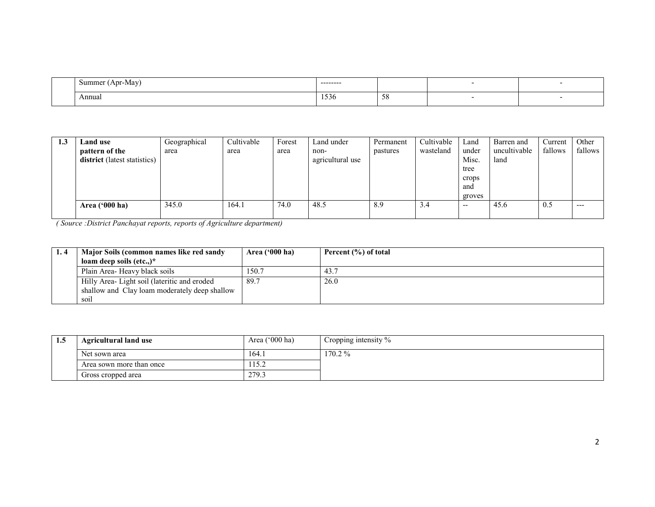| Summer<br>(Apr-May) | ---------    |                                  |  |
|---------------------|--------------|----------------------------------|--|
| Annual              | $-1$<br>1220 | $\overline{\phantom{a}}$<br>- 20 |  |

| 1.3 | Land use                     | Geographical | Cultivable | Forest | Land under       | Permanent | Cultivable | Land   | Barren and   | Current | Other   |
|-----|------------------------------|--------------|------------|--------|------------------|-----------|------------|--------|--------------|---------|---------|
|     | pattern of the               | area         | area       | area   | non-             | pastures  | wasteland  | under  | uncultivable | fallows | fallows |
|     | district (latest statistics) |              |            |        | agricultural use |           |            | Misc.  | land         |         |         |
|     |                              |              |            |        |                  |           |            | tree   |              |         |         |
|     |                              |              |            |        |                  |           |            | crops  |              |         |         |
|     |                              |              |            |        |                  |           |            | and    |              |         |         |
|     |                              |              |            |        |                  |           |            | groves |              |         |         |
|     | Area ('000 ha)               | 345.0        | 164.1      | 74.0   | 48.5             | 8.9       | 3.4        | $- -$  | 45.6         | 0.5     | ---     |
|     |                              |              |            |        |                  |           |            |        |              |         |         |

| Major Soils (common names like red sandy      | Area $(900 \text{ ha})$ | Percent (%) of total |
|-----------------------------------------------|-------------------------|----------------------|
| loam deep soils (etc)*                        |                         |                      |
| Plain Area- Heavy black soils                 | 150.7                   | 43.7                 |
| Hilly Area-Light soil (lateritic and eroded   | 89.7                    | 26.0                 |
| shallow and Clay loam moderately deep shallow |                         |                      |
| soil                                          |                         |                      |

| L.S | <b>Agricultural land use</b> | Area $('000 ha)$ | Cropping intensity $\%$ |
|-----|------------------------------|------------------|-------------------------|
|     | Net sown area                | 164.1            | 170.2%                  |
|     | Area sown more than once     | 115.2            |                         |
|     | Gross cropped area           | 279.3            |                         |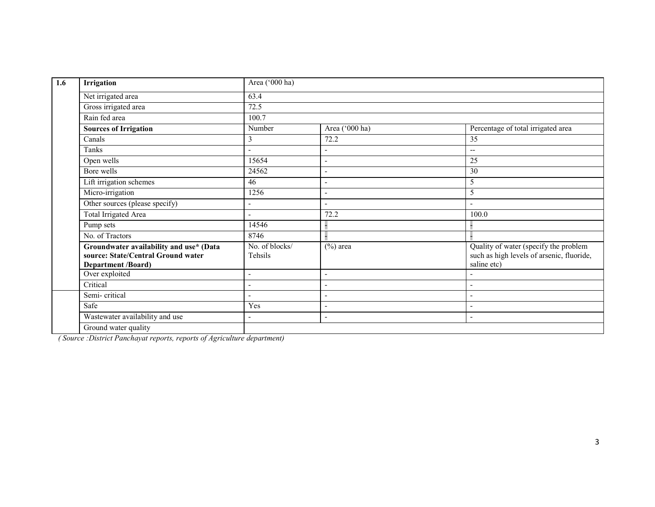| 1.6 | Irrigation                                                                                                 | Area ('000 ha)            |                          |                                                                                                   |
|-----|------------------------------------------------------------------------------------------------------------|---------------------------|--------------------------|---------------------------------------------------------------------------------------------------|
|     | Net irrigated area                                                                                         | 63.4                      |                          |                                                                                                   |
|     | Gross irrigated area                                                                                       | 72.5                      |                          |                                                                                                   |
|     | Rain fed area                                                                                              | 100.7                     |                          |                                                                                                   |
|     | <b>Sources of Irrigation</b>                                                                               | Number                    | Area ('000 ha)           | Percentage of total irrigated area                                                                |
|     | Canals                                                                                                     | 3                         | 72.2                     | 35                                                                                                |
|     | Tanks                                                                                                      |                           | Ē,                       | $-$                                                                                               |
|     | Open wells                                                                                                 | 15654                     |                          | 25                                                                                                |
|     | Bore wells                                                                                                 | 24562                     | ÷,                       | 30                                                                                                |
|     | Lift irrigation schemes                                                                                    | 46                        | ۰                        | 5                                                                                                 |
|     | Micro-irrigation                                                                                           | 1256                      | L,                       | 5                                                                                                 |
|     | Other sources (please specify)                                                                             |                           |                          |                                                                                                   |
|     | <b>Total Irrigated Area</b>                                                                                | $\overline{a}$            | 72.2                     | 100.0                                                                                             |
|     | Pump sets                                                                                                  | 14546                     |                          |                                                                                                   |
|     | No. of Tractors                                                                                            | 8746                      |                          |                                                                                                   |
|     | Groundwater availability and use* (Data<br>source: State/Central Ground water<br><b>Department /Board)</b> | No. of blocks/<br>Tehsils | $(\%)$ area              | Quality of water (specify the problem<br>such as high levels of arsenic, fluoride,<br>saline etc) |
|     | Over exploited                                                                                             | $\overline{a}$            | $\blacksquare$           |                                                                                                   |
|     | Critical                                                                                                   |                           |                          |                                                                                                   |
|     | Semi-critical                                                                                              | $\overline{a}$            | $\blacksquare$           | $\overline{\phantom{a}}$                                                                          |
|     | Safe                                                                                                       | Yes                       | ٠                        |                                                                                                   |
|     | Wastewater availability and use                                                                            | $\overline{\phantom{a}}$  | $\overline{\phantom{a}}$ | $\overline{\phantom{a}}$                                                                          |
|     | Ground water quality                                                                                       |                           |                          |                                                                                                   |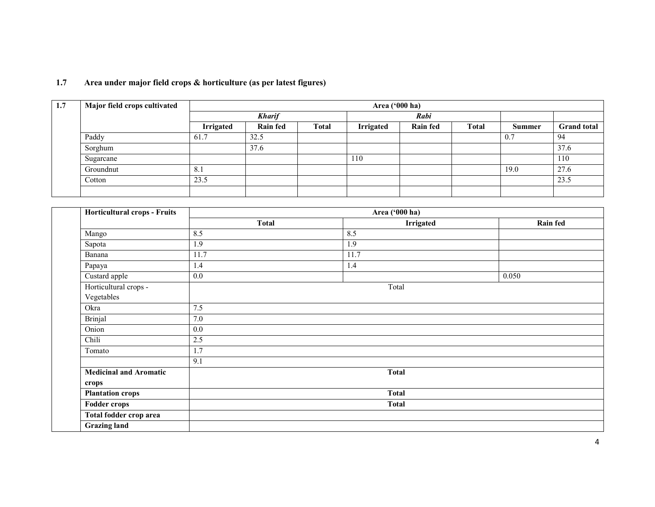| 1.7 | Major field crops cultivated |                  |                 |              | Area ('000 ha)   |                 |              |               |                    |
|-----|------------------------------|------------------|-----------------|--------------|------------------|-----------------|--------------|---------------|--------------------|
|     |                              |                  | <b>Kharif</b>   |              |                  | Rabi            |              |               |                    |
|     |                              | <b>Irrigated</b> | <b>Rain fed</b> | <b>Total</b> | <b>Irrigated</b> | <b>Rain fed</b> | <b>Total</b> | <b>Summer</b> | <b>Grand total</b> |
|     | Paddy                        | 61.7             | 32.5            |              |                  |                 |              | 0.7           | 94                 |
|     | Sorghum                      |                  | 37.6            |              |                  |                 |              |               | 37.6               |
|     | Sugarcane                    |                  |                 |              | 110              |                 |              |               | 110                |
|     | Groundnut                    | 8.1              |                 |              |                  |                 |              | 19.0          | 27.6               |
|     | Cotton                       | 23.5             |                 |              |                  |                 |              |               | 23.5               |
|     |                              |                  |                 |              |                  |                 |              |               |                    |

#### 1.7 Area under major field crops & horticulture (as per latest figures)

| <b>Horticultural crops - Fruits</b> |              | Area ('000 ha)   |          |  |  |  |  |  |  |
|-------------------------------------|--------------|------------------|----------|--|--|--|--|--|--|
|                                     | <b>Total</b> | <b>Irrigated</b> | Rain fed |  |  |  |  |  |  |
| Mango                               | 8.5          | 8.5              |          |  |  |  |  |  |  |
| Sapota                              | 1.9          | 1.9              |          |  |  |  |  |  |  |
| Banana                              | 11.7         | 11.7             |          |  |  |  |  |  |  |
| Papaya                              | 1.4          | 1.4              |          |  |  |  |  |  |  |
| Custard apple                       | 0.0          |                  | 0.050    |  |  |  |  |  |  |
| Horticultural crops -               |              | Total            |          |  |  |  |  |  |  |
| Vegetables                          |              |                  |          |  |  |  |  |  |  |
| Okra                                | 7.5          |                  |          |  |  |  |  |  |  |
| <b>Brinjal</b>                      | 7.0          |                  |          |  |  |  |  |  |  |
| Onion                               | 0.0          |                  |          |  |  |  |  |  |  |
| Chili                               | 2.5          |                  |          |  |  |  |  |  |  |
| Tomato                              | 1.7          |                  |          |  |  |  |  |  |  |
|                                     | 9.1          |                  |          |  |  |  |  |  |  |
| <b>Medicinal and Aromatic</b>       |              | <b>Total</b>     |          |  |  |  |  |  |  |
| crops                               |              |                  |          |  |  |  |  |  |  |
| <b>Plantation crops</b>             |              | <b>Total</b>     |          |  |  |  |  |  |  |
| <b>Fodder crops</b>                 |              | <b>Total</b>     |          |  |  |  |  |  |  |
| Total fodder crop area              |              |                  |          |  |  |  |  |  |  |
| <b>Grazing land</b>                 |              |                  |          |  |  |  |  |  |  |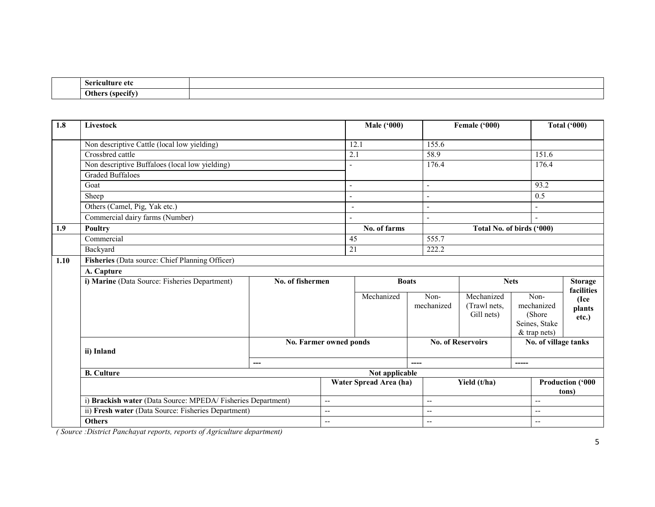|  | $\sim$<br>Sericult<br>Ш<br>-eto |  |
|--|---------------------------------|--|
|  | ')the<br>-tspecif               |  |

| 1.8  | Livestock                                                                                                          |                        |                          | <b>Male</b> ('000) |                          | Female ('000)                            |                                                                  | <b>Total ('000)</b>          |  |  |
|------|--------------------------------------------------------------------------------------------------------------------|------------------------|--------------------------|--------------------|--------------------------|------------------------------------------|------------------------------------------------------------------|------------------------------|--|--|
|      | Non descriptive Cattle (local low yielding)                                                                        |                        | 12.1                     |                    | 155.6                    |                                          |                                                                  |                              |  |  |
|      | Crossbred cattle                                                                                                   |                        |                          | 2.1                |                          |                                          |                                                                  | 151.6                        |  |  |
|      | Non descriptive Buffaloes (local low yielding)                                                                     |                        |                          |                    | 176.4                    |                                          |                                                                  | 176.4                        |  |  |
|      | <b>Graded Buffaloes</b>                                                                                            |                        |                          |                    |                          |                                          |                                                                  |                              |  |  |
|      | Goat                                                                                                               |                        | $\overline{\phantom{a}}$ |                    | $\overline{a}$           |                                          |                                                                  |                              |  |  |
|      | Sheep                                                                                                              |                        | $\overline{\phantom{a}}$ |                    |                          |                                          |                                                                  |                              |  |  |
|      | Others (Camel, Pig, Yak etc.)                                                                                      |                        | $\overline{\phantom{a}}$ |                    | $\overline{\phantom{a}}$ |                                          | $\overline{a}$                                                   |                              |  |  |
|      | Commercial dairy farms (Number)                                                                                    |                        |                          |                    |                          |                                          | $\overline{a}$                                                   |                              |  |  |
| 1.9  | <b>Poultry</b>                                                                                                     |                        |                          | No. of farms       |                          |                                          | Total No. of birds ('000)                                        |                              |  |  |
|      | Commercial                                                                                                         | $\overline{45}$        |                          | 555.7              |                          |                                          |                                                                  |                              |  |  |
|      | Backyard                                                                                                           |                        |                          | 21<br>222.2        |                          |                                          |                                                                  |                              |  |  |
| 1.10 | Fisheries (Data source: Chief Planning Officer)                                                                    |                        |                          |                    |                          |                                          |                                                                  |                              |  |  |
|      | A. Capture                                                                                                         |                        |                          |                    |                          |                                          |                                                                  |                              |  |  |
|      | i) Marine (Data Source: Fisheries Department)                                                                      |                        | No. of fishermen         |                    | <b>Boats</b>             |                                          | <b>Nets</b>                                                      | <b>Storage</b><br>facilities |  |  |
|      |                                                                                                                    |                        |                          | Mechanized         | Non-<br>mechanized       | Mechanized<br>(Trawl nets,<br>Gill nets) | Non-<br>mechanized<br>(Shore)<br>Seines, Stake<br>$&$ trap nets) | (Ice<br>plants<br>etc.)      |  |  |
|      | ii) Inland                                                                                                         |                        | No. Farmer owned ponds   |                    |                          | <b>No. of Reservoirs</b>                 |                                                                  | No. of village tanks         |  |  |
|      |                                                                                                                    | ---                    |                          |                    | ----                     |                                          | -----                                                            |                              |  |  |
|      | <b>B.</b> Culture                                                                                                  |                        | Not applicable           |                    |                          |                                          |                                                                  |                              |  |  |
|      |                                                                                                                    | Water Spread Area (ha) |                          |                    | Yield (t/ha)             |                                          | Production ('000<br>tons)                                        |                              |  |  |
|      | i) Brackish water (Data Source: MPEDA/Fisheries Department)<br>ii) Fresh water (Data Source: Fisheries Department) |                        |                          | $-$                |                          | --                                       |                                                                  | $\overline{\phantom{a}}$     |  |  |
|      |                                                                                                                    |                        |                          | --                 |                          | $\overline{\phantom{a}}$                 |                                                                  | $\overline{a}$               |  |  |
|      | <b>Others</b>                                                                                                      |                        | $-$                      |                    | $-$                      |                                          |                                                                  | $-$                          |  |  |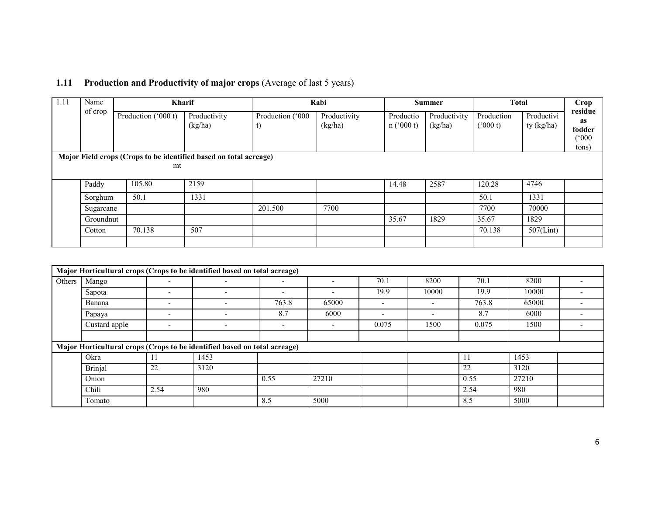| 1.11 | Name<br>of crop                                                   | <b>Kharif</b>       |                         |                        | Rabi                    | <b>Summer</b>          |                         | <b>Total</b>          |                          | <b>Crop</b><br>residue                       |  |  |
|------|-------------------------------------------------------------------|---------------------|-------------------------|------------------------|-------------------------|------------------------|-------------------------|-----------------------|--------------------------|----------------------------------------------|--|--|
|      |                                                                   | Production ('000 t) | Productivity<br>(kg/ha) | Production ('000<br>U) | Productivity<br>(kg/ha) | Productio<br>n('000 t) | Productivity<br>(kg/ha) | Production<br>(000 t) | Productivi<br>ty (kg/ha) | as<br>fodder<br>$(^\circ000^\circ)$<br>tons) |  |  |
|      | Major Field crops (Crops to be identified based on total acreage) |                     |                         |                        |                         |                        |                         |                       |                          |                                              |  |  |
|      |                                                                   | mt                  |                         |                        |                         |                        |                         |                       |                          |                                              |  |  |
|      | Paddy                                                             | 105.80              | 2159                    |                        |                         | 14.48                  | 2587                    | 120.28                | 4746                     |                                              |  |  |
|      | Sorghum                                                           | 50.1                | 1331                    |                        |                         |                        |                         | 50.1                  | 1331                     |                                              |  |  |
|      | Sugarcane                                                         |                     |                         | 201.500                | 7700                    |                        |                         | 7700                  | 70000                    |                                              |  |  |
|      | Groundnut                                                         |                     |                         |                        |                         | 35.67                  | 1829                    | 35.67                 | 1829                     |                                              |  |  |
|      | Cotton                                                            | 70.138              | 507                     |                        |                         |                        |                         | 70.138                | $507$ (Lint)             |                                              |  |  |
|      |                                                                   |                     |                         |                        |                         |                        |                         |                       |                          |                                              |  |  |

## 1.11 Production and Productivity of major crops (Average of last 5 years)

|        | Major Horticultural crops (Crops to be identified based on total acreage) |                          |                                                                           |                          |                          |       |                          |       |       |  |  |  |
|--------|---------------------------------------------------------------------------|--------------------------|---------------------------------------------------------------------------|--------------------------|--------------------------|-------|--------------------------|-------|-------|--|--|--|
| Others | Mango                                                                     | $\overline{\phantom{0}}$ |                                                                           | $\overline{\phantom{0}}$ | $\overline{\phantom{a}}$ | 70.1  | 8200                     | 70.1  | 8200  |  |  |  |
|        | Sapota                                                                    | $\overline{\phantom{0}}$ | $\overline{\phantom{0}}$                                                  | -                        | $\overline{\phantom{a}}$ | 19.9  | 10000                    | 19.9  | 10000 |  |  |  |
|        | Banana                                                                    | $\overline{\phantom{0}}$ |                                                                           | 763.8                    | 65000                    |       |                          | 763.8 | 65000 |  |  |  |
|        | Papaya                                                                    | $\overline{\phantom{0}}$ | $\overline{\phantom{a}}$                                                  | 8.7                      | 6000                     |       | $\overline{\phantom{a}}$ | 8.7   | 6000  |  |  |  |
|        | Custard apple                                                             | $\overline{\phantom{a}}$ | $\overline{\phantom{0}}$                                                  | $\overline{\phantom{0}}$ | $\overline{\phantom{a}}$ | 0.075 | 1500                     | 0.075 | 1500  |  |  |  |
|        |                                                                           |                          |                                                                           |                          |                          |       |                          |       |       |  |  |  |
|        |                                                                           |                          | Major Horticultural crops (Crops to be identified based on total acreage) |                          |                          |       |                          |       |       |  |  |  |
|        | Okra                                                                      |                          | 1453                                                                      |                          |                          |       |                          | 11    | 1453  |  |  |  |
|        | Brinjal                                                                   | 22                       | 3120                                                                      |                          |                          |       |                          | 22    | 3120  |  |  |  |
|        | Onion                                                                     |                          |                                                                           | 0.55                     | 27210                    |       |                          | 0.55  | 27210 |  |  |  |
|        | Chili                                                                     | 2.54                     | 980                                                                       |                          |                          |       |                          | 2.54  | 980   |  |  |  |
|        | Tomato                                                                    |                          |                                                                           | 8.5                      | 5000                     |       |                          | 8.5   | 5000  |  |  |  |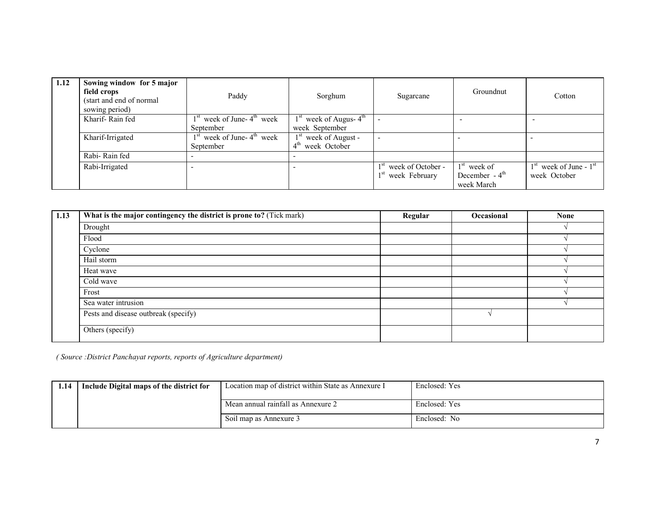| 1.12 | Sowing window for 5 major<br>field crops<br>(start and end of normal)<br>sowing period) | Paddy                          | Sorghum                         | Sugarcane               | Groundnut                   | Cotton                     |
|------|-----------------------------------------------------------------------------------------|--------------------------------|---------------------------------|-------------------------|-----------------------------|----------------------------|
|      | Kharif-Rain fed                                                                         | $1st$ week of June- $4th$ week | $1st$ week of Augus- $4th$      |                         |                             |                            |
|      |                                                                                         | September                      | week September                  |                         |                             |                            |
|      | Kharif-Irrigated                                                                        | $1st$ week of June- $4th$ week | $1st$ week of August -          | -                       |                             |                            |
|      |                                                                                         | September                      | 4 <sup>th</sup><br>week October |                         |                             |                            |
|      | Rabi-Rain fed                                                                           |                                |                                 |                         |                             |                            |
|      | Rabi-Irrigated                                                                          |                                |                                 | $1st$ week of October - | $1st$ week of               | $1st$ week of June - $1st$ |
|      |                                                                                         |                                |                                 | $1st$ week February     | December $-4$ <sup>th</sup> | week October               |
|      |                                                                                         |                                |                                 |                         | week March                  |                            |

| 1.13 | What is the major contingency the district is prone to? (Tick mark) | Regular | Occasional | <b>None</b> |
|------|---------------------------------------------------------------------|---------|------------|-------------|
|      | Drought                                                             |         |            |             |
|      | Flood                                                               |         |            |             |
|      | Cyclone                                                             |         |            |             |
|      | Hail storm                                                          |         |            |             |
|      | Heat wave                                                           |         |            |             |
|      | Cold wave                                                           |         |            |             |
|      | Frost                                                               |         |            |             |
|      | Sea water intrusion                                                 |         |            |             |
|      | Pests and disease outbreak (specify)                                |         |            |             |
|      | Others (specify)                                                    |         |            |             |

| 1.14 | Include Digital maps of the district for | Location map of district within State as Annexure I | Enclosed: Yes |
|------|------------------------------------------|-----------------------------------------------------|---------------|
|      |                                          | Mean annual rainfall as Annexure 2                  | Enclosed: Yes |
|      |                                          | Soil map as Annexure 3                              | Enclosed: No  |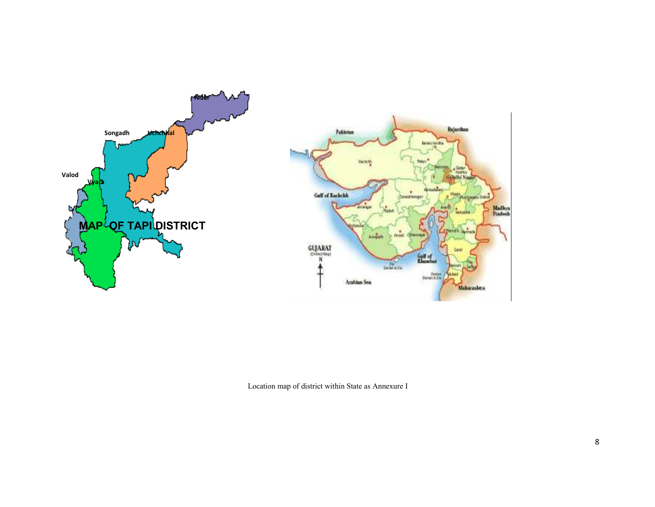

Location map of district within State as Annexure I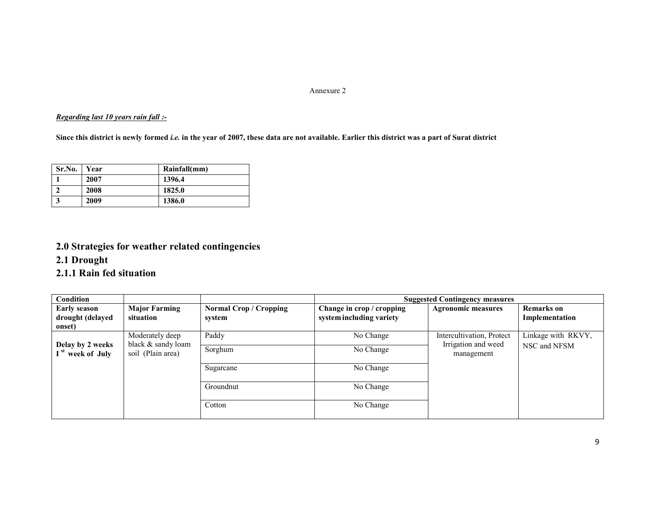#### Annexure 2

#### Regarding last 10 years rain fall :-

Since this district is newly formed *i.e.* in the year of 2007, these data are not available. Earlier this district was a part of Surat district

| Sr.No. | Year | Rainfall(mm) |
|--------|------|--------------|
|        | 2007 | 1396.4       |
|        | 2008 | 1825.0       |
|        | 2009 | 1386.0       |

### 2.0 Strategies for weather related contingencies

#### 2.1 Drought

#### 2.1.1 Rain fed situation

| Condition                                         |                                                            |                                         |                                                       | <b>Suggested Contingency measures</b>                          |                                     |
|---------------------------------------------------|------------------------------------------------------------|-----------------------------------------|-------------------------------------------------------|----------------------------------------------------------------|-------------------------------------|
| <b>Early season</b><br>drought (delayed<br>onset) | <b>Major Farming</b><br>situation                          | <b>Normal Crop / Cropping</b><br>system | Change in crop / cropping<br>system including variety | <b>Agronomic measures</b>                                      | <b>Remarks</b> on<br>Implementation |
|                                                   | Moderately deep<br>black & sandy loam<br>soil (Plain area) | Paddy                                   | No Change                                             | Intercultivation, Protect<br>Irrigation and weed<br>management | Linkage with RKVY,<br>NSC and NFSM  |
| Delay by 2 weeks<br>I <sup>st</sup> week of July  |                                                            | Sorghum                                 | No Change                                             |                                                                |                                     |
|                                                   |                                                            | Sugarcane                               | No Change                                             |                                                                |                                     |
|                                                   |                                                            | Groundnut                               | No Change                                             |                                                                |                                     |
|                                                   |                                                            | Cotton                                  | No Change                                             |                                                                |                                     |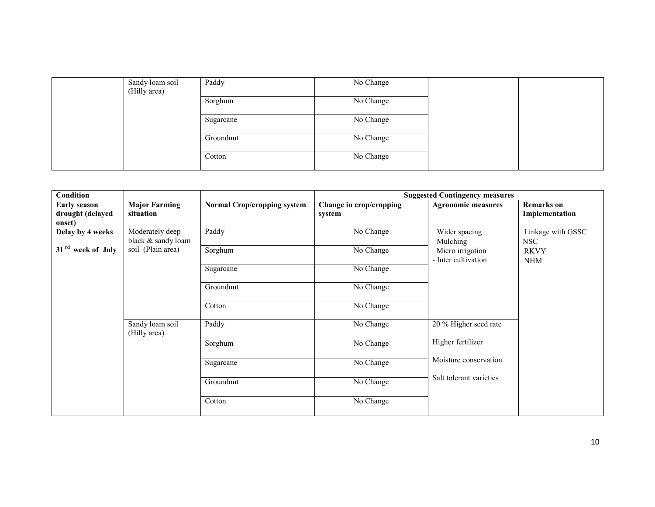| Sandy loam soil<br>(Hilly area) | Paddy     | No Change |  |
|---------------------------------|-----------|-----------|--|
|                                 | Sorghum   | No Change |  |
|                                 | Sugarcane | No Change |  |
|                                 | Groundnut | No Change |  |
|                                 | Cotton    | No Change |  |

| <b>Condition</b>                                  |                                       |                                    |                                   | <b>Suggested Contingency measures</b>   |                                     |
|---------------------------------------------------|---------------------------------------|------------------------------------|-----------------------------------|-----------------------------------------|-------------------------------------|
| <b>Early season</b><br>drought (delayed<br>onset) | <b>Major Farming</b><br>situation     | <b>Normal Crop/cropping system</b> | Change in crop/cropping<br>system | <b>Agronomic measures</b>               | <b>Remarks</b> on<br>Implementation |
| Delay by 4 weeks                                  | Moderately deep<br>black & sandy loam | Paddy                              | No Change                         | Wider spacing<br>Mulching               | Linkage with GSSC<br>NSC            |
| 3I <sup>rd</sup> week of July                     | soil (Plain area)                     | Sorghum                            | No Change                         | Micro irrigation<br>- Inter cultivation | <b>RKVY</b><br><b>NHM</b>           |
|                                                   |                                       | Sugarcane                          | No Change                         |                                         |                                     |
|                                                   |                                       | Groundnut                          | No Change                         |                                         |                                     |
|                                                   |                                       | Cotton                             | No Change                         |                                         |                                     |
|                                                   | Sandy loam soil<br>(Hilly area)       | Paddy                              | No Change                         | 20 % Higher seed rate                   |                                     |
|                                                   |                                       | Sorghum                            | No Change                         | Higher fertilizer                       |                                     |
|                                                   |                                       | Sugarcane                          | No Change                         | Moisture conservation                   |                                     |
|                                                   |                                       | Groundnut                          | No Change                         | Salt tolerant varieties                 |                                     |
|                                                   |                                       | Cotton                             | No Change                         |                                         |                                     |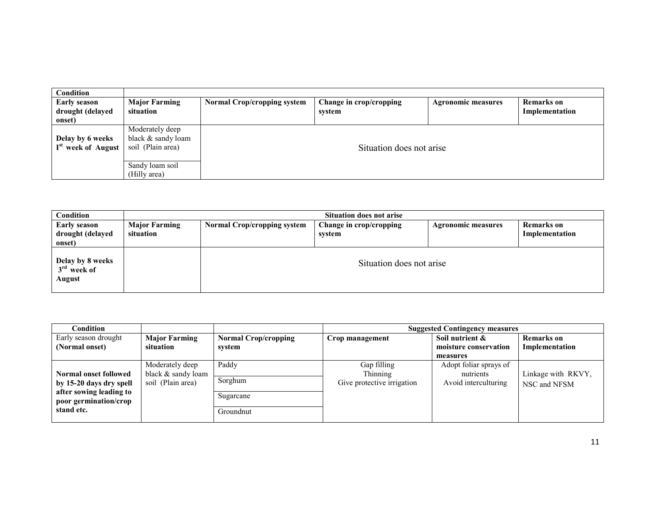| Condition                                          |                                                            |                                    |                                   |                           |                              |
|----------------------------------------------------|------------------------------------------------------------|------------------------------------|-----------------------------------|---------------------------|------------------------------|
| <b>Early season</b><br>drought (delayed<br>onset)  | <b>Major Farming</b><br>situation                          | <b>Normal Crop/cropping system</b> | Change in crop/cropping<br>system | <b>Agronomic measures</b> | Remarks on<br>Implementation |
| Delay by 6 weeks<br>I <sup>st</sup> week of August | Moderately deep<br>black & sandy loam<br>soil (Plain area) | Situation does not arise           |                                   |                           |                              |
|                                                    | Sandy loam soil<br>(Hilly area)                            |                                    |                                   |                           |                              |

| Condition                                         | <b>Situation does not arise</b>   |                                    |                                   |                           |                                     |  |  |
|---------------------------------------------------|-----------------------------------|------------------------------------|-----------------------------------|---------------------------|-------------------------------------|--|--|
| <b>Early season</b><br>drought (delayed<br>onset) | <b>Major Farming</b><br>situation | <b>Normal Crop/cropping system</b> | Change in crop/cropping<br>system | <b>Agronomic measures</b> | <b>Remarks</b> on<br>Implementation |  |  |
| Delay by 8 weeks<br>$3rd$ week of<br>August       |                                   | Situation does not arise           |                                   |                           |                                     |  |  |

| Condition                                               |                                         |                             |                                        | <b>Suggested Contingency measures</b> |                                    |
|---------------------------------------------------------|-----------------------------------------|-----------------------------|----------------------------------------|---------------------------------------|------------------------------------|
| Early season drought                                    | <b>Major Farming</b>                    | <b>Normal Crop/cropping</b> | Crop management                        | Soil nutrient &                       | <b>Remarks</b> on                  |
| (Normal onset)                                          | situation                               | system                      |                                        | moisture conservation                 | Implementation                     |
|                                                         |                                         |                             |                                        | measures                              |                                    |
|                                                         | Moderately deep                         | Paddy                       | Gap filling                            | Adopt foliar sprays of                |                                    |
| <b>Normal onset followed</b><br>by 15-20 days dry spell | black & sandy loam<br>soil (Plain area) | Sorghum                     | Thinning<br>Give protective irrigation | nutrients<br>Avoid interculturing     | Linkage with RKVY,<br>NSC and NFSM |
| after sowing leading to<br>poor germination/crop        |                                         | Sugarcane                   |                                        |                                       |                                    |
| stand etc.                                              |                                         | Groundnut                   |                                        |                                       |                                    |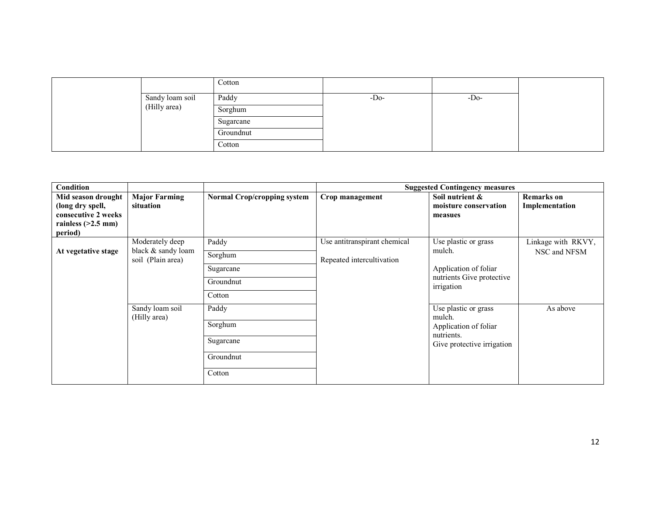|                 | Cotton    |        |       |  |
|-----------------|-----------|--------|-------|--|
| Sandy loam soil | Paddy     | $-Do-$ | $-DO$ |  |
| (Hilly area)    | Sorghum   |        |       |  |
|                 | Sugarcane |        |       |  |
|                 | Groundnut |        |       |  |
|                 | Cotton    |        |       |  |

| <b>Condition</b>                                                                                 |                                                            |                                                      |                                                           | <b>Suggested Contingency measures</b>                                                               |                                     |
|--------------------------------------------------------------------------------------------------|------------------------------------------------------------|------------------------------------------------------|-----------------------------------------------------------|-----------------------------------------------------------------------------------------------------|-------------------------------------|
| Mid season drought<br>(long dry spell,<br>consecutive 2 weeks<br>rainless $(>2.5$ mm)<br>period) | <b>Major Farming</b><br>situation                          | <b>Normal Crop/cropping system</b>                   | Crop management                                           | Soil nutrient &<br>moisture conservation<br>measues                                                 | <b>Remarks</b> on<br>Implementation |
| At vegetative stage                                                                              | Moderately deep<br>black & sandy loam<br>soil (Plain area) | Paddy<br>Sorghum<br>Sugarcane<br>Groundnut<br>Cotton | Use antitranspirant chemical<br>Repeated intercultivation | Use plastic or grass<br>mulch.<br>Application of foliar<br>nutrients Give protective<br>irrigation  | Linkage with RKVY,<br>NSC and NFSM  |
|                                                                                                  | Sandy loam soil<br>(Hilly area)                            | Paddy<br>Sorghum<br>Sugarcane<br>Groundnut<br>Cotton |                                                           | Use plastic or grass<br>mulch.<br>Application of foliar<br>nutrients.<br>Give protective irrigation | As above                            |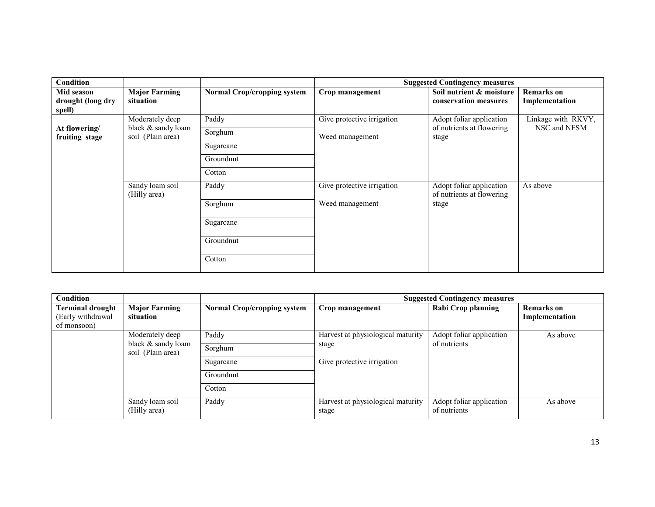| Condition                                 |                                       |                                    |                            | <b>Suggested Contingency measures</b>                 |                                     |
|-------------------------------------------|---------------------------------------|------------------------------------|----------------------------|-------------------------------------------------------|-------------------------------------|
| Mid season<br>drought (long dry<br>spell) | <b>Major Farming</b><br>situation     | <b>Normal Crop/cropping system</b> | Crop management            | Soil nutrient & moisture<br>conservation measures     | <b>Remarks</b> on<br>Implementation |
| At flowering/                             | Moderately deep<br>black & sandy loam | Paddy                              | Give protective irrigation | Adopt foliar application<br>of nutrients at flowering | Linkage with RKVY,<br>NSC and NFSM  |
| fruiting stage                            | soil (Plain area)                     | Sorghum                            | Weed management            | stage                                                 |                                     |
|                                           |                                       | Sugarcane                          |                            |                                                       |                                     |
|                                           |                                       | Groundnut                          |                            |                                                       |                                     |
|                                           |                                       | Cotton                             |                            |                                                       |                                     |
|                                           | Sandy loam soil<br>(Hilly area)       | Paddy                              | Give protective irrigation | Adopt foliar application<br>of nutrients at flowering | As above                            |
|                                           |                                       | Sorghum                            | Weed management            | stage                                                 |                                     |
|                                           |                                       | Sugarcane                          |                            |                                                       |                                     |
|                                           |                                       | Groundnut                          |                            |                                                       |                                     |
|                                           |                                       | Cotton                             |                            |                                                       |                                     |

| Condition                                                   |                                   |                                    | <b>Suggested Contingency measures</b>      |                                          |                                     |  |
|-------------------------------------------------------------|-----------------------------------|------------------------------------|--------------------------------------------|------------------------------------------|-------------------------------------|--|
| <b>Terminal drought</b><br>(Early withdrawal<br>of monsoon) | <b>Major Farming</b><br>situation | <b>Normal Crop/cropping system</b> | Crop management                            | <b>Rabi Crop planning</b>                | <b>Remarks</b> on<br>Implementation |  |
|                                                             | Moderately deep                   | Paddy                              | Harvest at physiological maturity          | Adopt foliar application                 | As above                            |  |
| black & sandy loam<br>soil (Plain area)                     | Sorghum                           | stage                              | of nutrients                               |                                          |                                     |  |
|                                                             |                                   | Sugarcane                          | Give protective irrigation                 |                                          |                                     |  |
|                                                             |                                   | Groundnut                          |                                            |                                          |                                     |  |
|                                                             | Cotton                            |                                    |                                            |                                          |                                     |  |
|                                                             | Sandy loam soil<br>(Hilly area)   | Paddy                              | Harvest at physiological maturity<br>stage | Adopt foliar application<br>of nutrients | As above                            |  |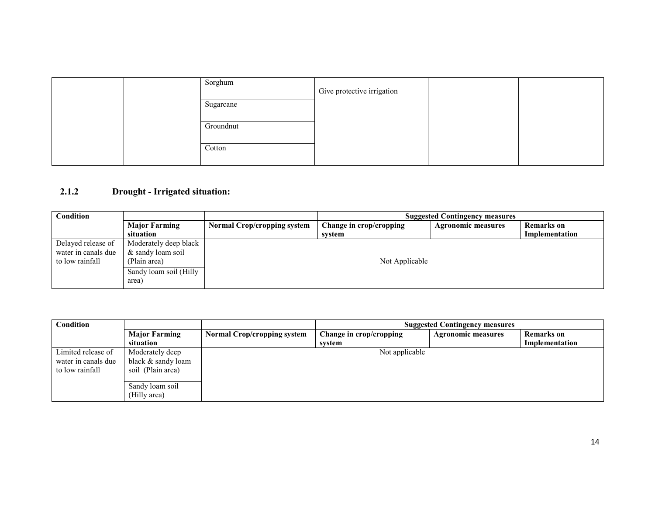|  | Sorghum   | Give protective irrigation |  |
|--|-----------|----------------------------|--|
|  | Sugarcane |                            |  |
|  | Groundnut |                            |  |
|  | Cotton    |                            |  |

# 2.1.2 Drought - Irrigated situation:

| Condition           |                        |                                    | <b>Suggested Contingency measures</b> |                           |                |  |
|---------------------|------------------------|------------------------------------|---------------------------------------|---------------------------|----------------|--|
|                     | <b>Major Farming</b>   | <b>Normal Crop/cropping system</b> | Change in crop/cropping               | <b>Agronomic measures</b> | Remarks on     |  |
|                     | situation              |                                    | system                                |                           | Implementation |  |
| Delayed release of  | Moderately deep black  |                                    |                                       |                           |                |  |
| water in canals due | & sandy loam soil      |                                    |                                       |                           |                |  |
| to low rainfall     | (Plain area)           |                                    | Not Applicable                        |                           |                |  |
|                     | Sandy loam soil (Hilly |                                    |                                       |                           |                |  |
|                     | area)                  |                                    |                                       |                           |                |  |

| Condition                                                    |                                                                                               | <b>Suggested Contingency measures</b> |                         |                           |                   |
|--------------------------------------------------------------|-----------------------------------------------------------------------------------------------|---------------------------------------|-------------------------|---------------------------|-------------------|
|                                                              | <b>Major Farming</b>                                                                          | <b>Normal Crop/cropping system</b>    | Change in crop/cropping | <b>Agronomic measures</b> | <b>Remarks</b> on |
|                                                              | situation                                                                                     |                                       | system                  |                           | Implementation    |
| Limited release of<br>water in canals due<br>to low rainfall | Moderately deep<br>black & sandy loam<br>soil (Plain area)<br>Sandy loam soil<br>(Hilly area) |                                       | Not applicable          |                           |                   |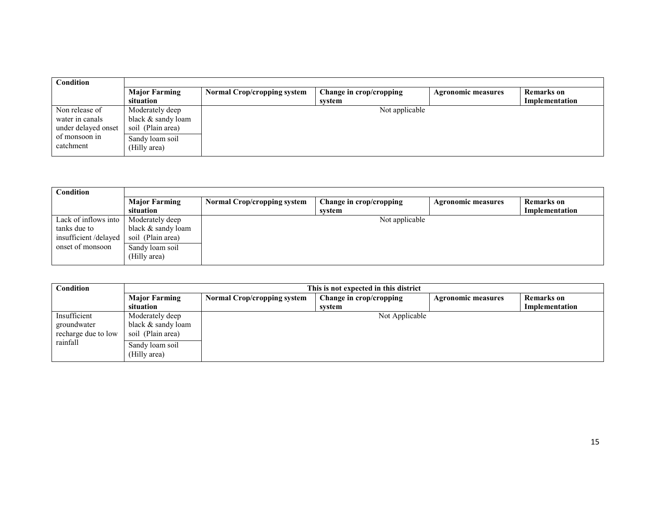| Condition           |                      |                                    |                         |                           |                   |  |
|---------------------|----------------------|------------------------------------|-------------------------|---------------------------|-------------------|--|
|                     | <b>Major Farming</b> | <b>Normal Crop/cropping system</b> | Change in crop/cropping | <b>Agronomic measures</b> | <b>Remarks</b> on |  |
|                     | situation            |                                    | system                  |                           | Implementation    |  |
| Non release of      | Moderately deep      | Not applicable                     |                         |                           |                   |  |
| water in canals     | black $&$ sandy loam |                                    |                         |                           |                   |  |
| under delayed onset | soil (Plain area)    |                                    |                         |                           |                   |  |
| of monsoon in       | Sandy loam soil      |                                    |                         |                           |                   |  |
| catchment           | (Hilly area)         |                                    |                         |                           |                   |  |
|                     |                      |                                    |                         |                           |                   |  |

| Condition              |                      |                                    |                         |                           |                |
|------------------------|----------------------|------------------------------------|-------------------------|---------------------------|----------------|
|                        | <b>Major Farming</b> | <b>Normal Crop/cropping system</b> | Change in crop/cropping | <b>Agronomic measures</b> | Remarks on     |
|                        | situation            |                                    | system                  |                           | Implementation |
| Lack of inflows into 1 | Moderately deep      |                                    | Not applicable          |                           |                |
| tanks due to           | black & sandy loam   |                                    |                         |                           |                |
| insufficient/delayed   | soil (Plain area)    |                                    |                         |                           |                |
| onset of monsoon       | Sandy loam soil      |                                    |                         |                           |                |
|                        | (Hilly area)         |                                    |                         |                           |                |

| Condition                                          |                                                            | This is not expected in this district |                         |                           |                   |  |  |  |
|----------------------------------------------------|------------------------------------------------------------|---------------------------------------|-------------------------|---------------------------|-------------------|--|--|--|
|                                                    | <b>Major Farming</b>                                       | <b>Normal Crop/cropping system</b>    | Change in crop/cropping | <b>Agronomic measures</b> | <b>Remarks</b> on |  |  |  |
|                                                    | situation                                                  |                                       | system                  |                           | Implementation    |  |  |  |
| Insufficient<br>groundwater<br>recharge due to low | Moderately deep<br>black & sandy loam<br>soil (Plain area) |                                       | Not Applicable          |                           |                   |  |  |  |
| rainfall                                           | Sandy loam soil<br>(Hilly area)                            |                                       |                         |                           |                   |  |  |  |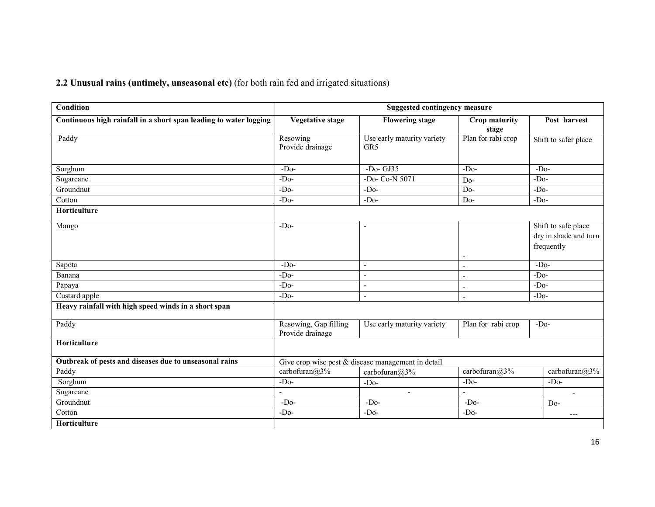2.2 Unusual rains (untimely, unseasonal etc) (for both rain fed and irrigated situations)

| <b>Condition</b>                                                  | <b>Suggested contingency measure</b>      |                                                    |                        |                                                            |  |  |
|-------------------------------------------------------------------|-------------------------------------------|----------------------------------------------------|------------------------|------------------------------------------------------------|--|--|
| Continuous high rainfall in a short span leading to water logging | <b>Vegetative stage</b>                   | <b>Flowering stage</b>                             | Crop maturity<br>stage | Post harvest                                               |  |  |
| Paddy                                                             | Resowing<br>Provide drainage              | Use early maturity variety<br>GR5                  | Plan for rabi crop     | Shift to safer place                                       |  |  |
| Sorghum                                                           | $-Do$                                     | $-Do-GJ35$                                         | $-Do$                  | $-Do-$                                                     |  |  |
| Sugarcane                                                         | $-Do-$                                    | -Do- Co-N 5071                                     | $Do-$                  | $-Do-$                                                     |  |  |
| Groundnut                                                         | $-Do-$                                    | $-Do-$                                             | $Do-$                  | $-Do-$                                                     |  |  |
| Cotton                                                            | $-Do-$                                    | $-Do$                                              | $Do-$                  | $-Do-$                                                     |  |  |
| Horticulture                                                      |                                           |                                                    |                        |                                                            |  |  |
| Mango                                                             | $-Do-$                                    |                                                    |                        | Shift to safe place<br>dry in shade and turn<br>frequently |  |  |
| Sapota                                                            | $-Do-$                                    | $\overline{\phantom{a}}$                           | $\overline{a}$         | $-Do-$                                                     |  |  |
| Banana                                                            | $-Do-$                                    | $\sim$                                             |                        | $-Do-$                                                     |  |  |
| Papaya                                                            | $-Do-$                                    | $\overline{\phantom{a}}$                           | $\sim$                 | $-Do-$                                                     |  |  |
| Custard apple                                                     | $-Do-$                                    | $\blacksquare$                                     | $\blacksquare$         | $-Do-$                                                     |  |  |
| Heavy rainfall with high speed winds in a short span              |                                           |                                                    |                        |                                                            |  |  |
| Paddy                                                             | Resowing, Gap filling<br>Provide drainage | Use early maturity variety                         | Plan for rabi crop     | $-Do-$                                                     |  |  |
| Horticulture                                                      |                                           |                                                    |                        |                                                            |  |  |
| Outbreak of pests and diseases due to unseasonal rains            |                                           | Give crop wise pest & disease management in detail |                        |                                                            |  |  |
| Paddy                                                             | carbofuran@3%                             | carbofuran@3%                                      | carbofuran@3%          | carbofuran@3%                                              |  |  |
| Sorghum                                                           | $-Do-$                                    | $-Do-$                                             | $-Do-$                 | $-Do-$                                                     |  |  |
| Sugarcane                                                         |                                           | $\sim$                                             |                        | $\overline{a}$                                             |  |  |
| Groundnut                                                         | $-Do-$                                    | $-Do-$                                             | $-Do-$                 | $Do-$                                                      |  |  |
| Cotton                                                            | $-Do-$                                    | $-Do-$                                             | $-Do-$                 | ---                                                        |  |  |
| Horticulture                                                      |                                           |                                                    |                        |                                                            |  |  |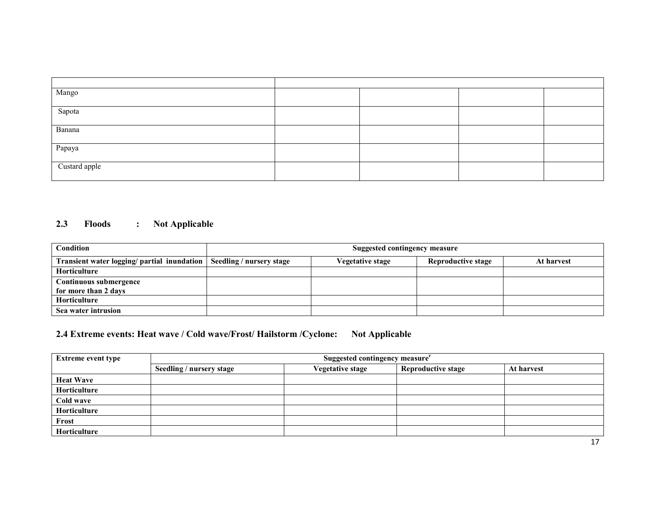| Mango         |  |  |
|---------------|--|--|
| Sapota        |  |  |
| Banana        |  |  |
| Papaya        |  |  |
| Custard apple |  |  |

### 2.3 Floods : Not Applicable

| Condition                                   | Suggested contingency measure |                  |                           |            |  |  |
|---------------------------------------------|-------------------------------|------------------|---------------------------|------------|--|--|
| Transient water logging/ partial inundation | Seedling / nursery stage      | Vegetative stage | <b>Reproductive stage</b> | At harvest |  |  |
| <b>Horticulture</b>                         |                               |                  |                           |            |  |  |
| Continuous submergence                      |                               |                  |                           |            |  |  |
| for more than 2 days                        |                               |                  |                           |            |  |  |
| <b>Horticulture</b>                         |                               |                  |                           |            |  |  |
| Sea water intrusion                         |                               |                  |                           |            |  |  |

# 2.4 Extreme events: Heat wave / Cold wave/Frost/ Hailstorm / Cyclone: Not Applicable

| <b>Extreme event type</b> | Suggested contingency measure <sup>r</sup> |                         |                           |            |  |  |  |
|---------------------------|--------------------------------------------|-------------------------|---------------------------|------------|--|--|--|
|                           | Seedling / nursery stage                   | <b>Vegetative stage</b> | <b>Reproductive stage</b> | At harvest |  |  |  |
| <b>Heat Wave</b>          |                                            |                         |                           |            |  |  |  |
| Horticulture              |                                            |                         |                           |            |  |  |  |
| Cold wave                 |                                            |                         |                           |            |  |  |  |
| Horticulture              |                                            |                         |                           |            |  |  |  |
| Frost                     |                                            |                         |                           |            |  |  |  |
| Horticulture              |                                            |                         |                           |            |  |  |  |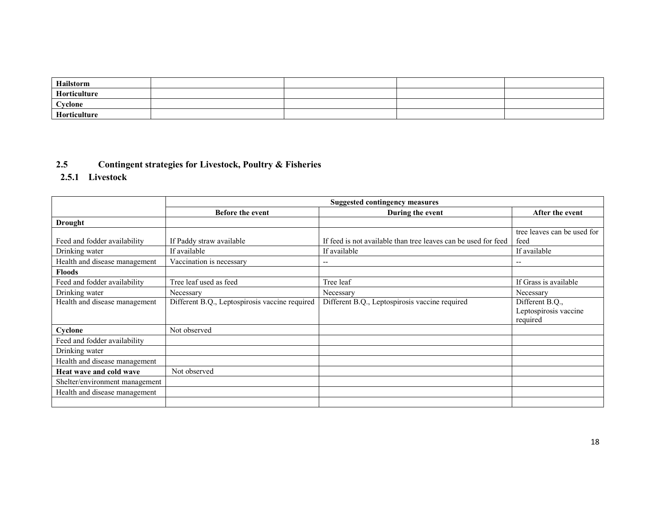| Hailstorm    |  |  |
|--------------|--|--|
| Horticulture |  |  |
| Cyclone      |  |  |
| Horticulture |  |  |

#### 2.5Contingent strategies for Livestock, Poultry & Fisheries

2.5.1 Livestock

|                                | <b>Suggested contingency measures</b>          |                                                                |                                                      |  |
|--------------------------------|------------------------------------------------|----------------------------------------------------------------|------------------------------------------------------|--|
|                                | <b>Before the event</b><br>During the event    |                                                                | After the event                                      |  |
| <b>Drought</b>                 |                                                |                                                                |                                                      |  |
| Feed and fodder availability   | If Paddy straw available                       | If feed is not available than tree leaves can be used for feed | tree leaves can be used for<br>feed                  |  |
| Drinking water                 | If available                                   | If available                                                   | If available                                         |  |
| Health and disease management  | Vaccination is necessary                       | $- -$                                                          | --                                                   |  |
| <b>Floods</b>                  |                                                |                                                                |                                                      |  |
| Feed and fodder availability   | Tree leaf used as feed                         | Tree leaf                                                      | If Grass is available                                |  |
| Drinking water                 | Necessary                                      | Necessary                                                      | Necessary                                            |  |
| Health and disease management  | Different B.Q., Leptospirosis vaccine required | Different B.Q., Leptospirosis vaccine required                 | Different B.Q.,<br>Leptospirosis vaccine<br>required |  |
| Cyclone                        | Not observed                                   |                                                                |                                                      |  |
| Feed and fodder availability   |                                                |                                                                |                                                      |  |
| Drinking water                 |                                                |                                                                |                                                      |  |
| Health and disease management  |                                                |                                                                |                                                      |  |
| Heat wave and cold wave        | Not observed                                   |                                                                |                                                      |  |
| Shelter/environment management |                                                |                                                                |                                                      |  |
| Health and disease management  |                                                |                                                                |                                                      |  |
|                                |                                                |                                                                |                                                      |  |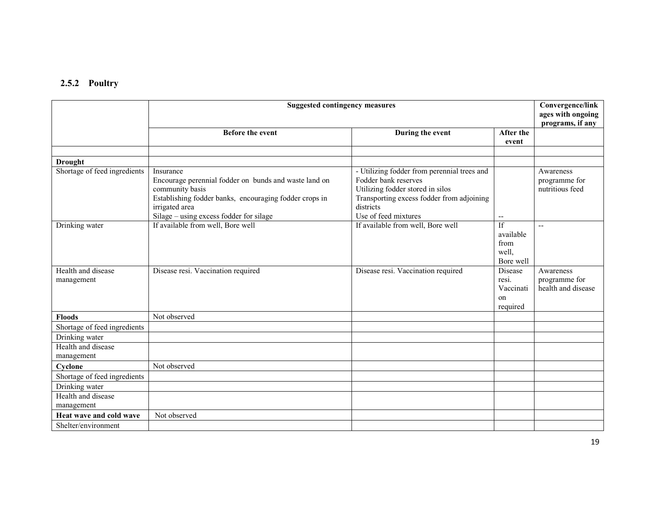# 2.5.2 Poultry

|                                  | <b>Suggested contingency measures</b>                                                                                                                                                                        |                                                                                                                                                                                           |                                                 |                                                  |
|----------------------------------|--------------------------------------------------------------------------------------------------------------------------------------------------------------------------------------------------------------|-------------------------------------------------------------------------------------------------------------------------------------------------------------------------------------------|-------------------------------------------------|--------------------------------------------------|
|                                  | <b>Before the event</b>                                                                                                                                                                                      | During the event                                                                                                                                                                          | After the                                       |                                                  |
|                                  |                                                                                                                                                                                                              |                                                                                                                                                                                           | event                                           |                                                  |
| <b>Drought</b>                   |                                                                                                                                                                                                              |                                                                                                                                                                                           |                                                 |                                                  |
| Shortage of feed ingredients     | Insurance<br>Encourage perennial fodder on bunds and waste land on<br>community basis<br>Establishing fodder banks, encouraging fodder crops in<br>irrigated area<br>Silage – using excess fodder for silage | - Utilizing fodder from perennial trees and<br>Fodder bank reserves<br>Utilizing fodder stored in silos<br>Transporting excess fodder from adjoining<br>districts<br>Use of feed mixtures | $\overline{\phantom{a}}$                        | Awareness<br>programme for<br>nutritious feed    |
| Drinking water                   | If available from well, Bore well                                                                                                                                                                            | If available from well, Bore well                                                                                                                                                         | If<br>available<br>from<br>well,<br>Bore well   | $\overline{\phantom{a}}$                         |
| Health and disease<br>management | Disease resi. Vaccination required                                                                                                                                                                           | Disease resi. Vaccination required                                                                                                                                                        | Disease<br>resi.<br>Vaccinati<br>on<br>required | Awareness<br>programme for<br>health and disease |
| <b>Floods</b>                    | Not observed                                                                                                                                                                                                 |                                                                                                                                                                                           |                                                 |                                                  |
| Shortage of feed ingredients     |                                                                                                                                                                                                              |                                                                                                                                                                                           |                                                 |                                                  |
| Drinking water                   |                                                                                                                                                                                                              |                                                                                                                                                                                           |                                                 |                                                  |
| Health and disease<br>management |                                                                                                                                                                                                              |                                                                                                                                                                                           |                                                 |                                                  |
| Cyclone                          | Not observed                                                                                                                                                                                                 |                                                                                                                                                                                           |                                                 |                                                  |
| Shortage of feed ingredients     |                                                                                                                                                                                                              |                                                                                                                                                                                           |                                                 |                                                  |
| Drinking water                   |                                                                                                                                                                                                              |                                                                                                                                                                                           |                                                 |                                                  |
| Health and disease<br>management |                                                                                                                                                                                                              |                                                                                                                                                                                           |                                                 |                                                  |
| Heat wave and cold wave          | Not observed                                                                                                                                                                                                 |                                                                                                                                                                                           |                                                 |                                                  |
| Shelter/environment              |                                                                                                                                                                                                              |                                                                                                                                                                                           |                                                 |                                                  |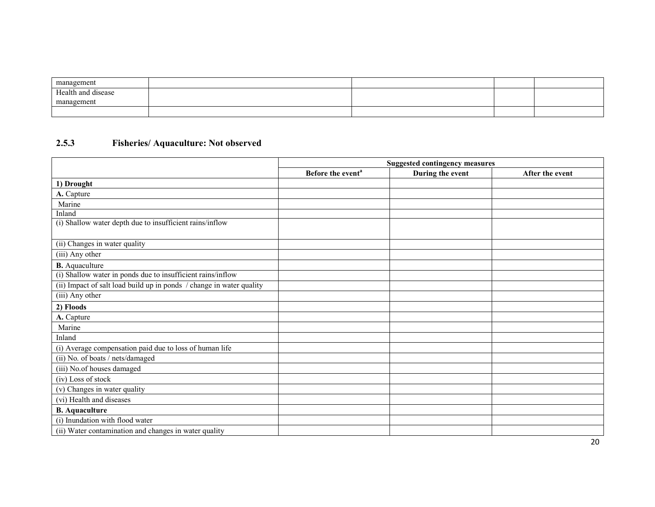| management         |  |  |
|--------------------|--|--|
| Health and disease |  |  |
| management         |  |  |
|                    |  |  |

#### 2.5.3 Fisheries/ Aquaculture: Not observed

|                                                                      | <b>Suggested contingency measures</b> |                  |                 |
|----------------------------------------------------------------------|---------------------------------------|------------------|-----------------|
|                                                                      | Before the event <sup>a</sup>         | During the event | After the event |
| 1) Drought                                                           |                                       |                  |                 |
| A. Capture                                                           |                                       |                  |                 |
| Marine                                                               |                                       |                  |                 |
| Inland                                                               |                                       |                  |                 |
| (i) Shallow water depth due to insufficient rains/inflow             |                                       |                  |                 |
| (ii) Changes in water quality                                        |                                       |                  |                 |
| (iii) Any other                                                      |                                       |                  |                 |
| <b>B.</b> Aquaculture                                                |                                       |                  |                 |
| (i) Shallow water in ponds due to insufficient rains/inflow          |                                       |                  |                 |
| (ii) Impact of salt load build up in ponds / change in water quality |                                       |                  |                 |
| (iii) Any other                                                      |                                       |                  |                 |
| 2) Floods                                                            |                                       |                  |                 |
| A. Capture                                                           |                                       |                  |                 |
| Marine                                                               |                                       |                  |                 |
| Inland                                                               |                                       |                  |                 |
| (i) Average compensation paid due to loss of human life              |                                       |                  |                 |
| (ii) No. of boats / nets/damaged                                     |                                       |                  |                 |
| (iii) No.of houses damaged                                           |                                       |                  |                 |
| (iv) Loss of stock                                                   |                                       |                  |                 |
| (v) Changes in water quality                                         |                                       |                  |                 |
| (vi) Health and diseases                                             |                                       |                  |                 |
| <b>B.</b> Aquaculture                                                |                                       |                  |                 |
| (i) Inundation with flood water                                      |                                       |                  |                 |
| (ii) Water contamination and changes in water quality                |                                       |                  |                 |